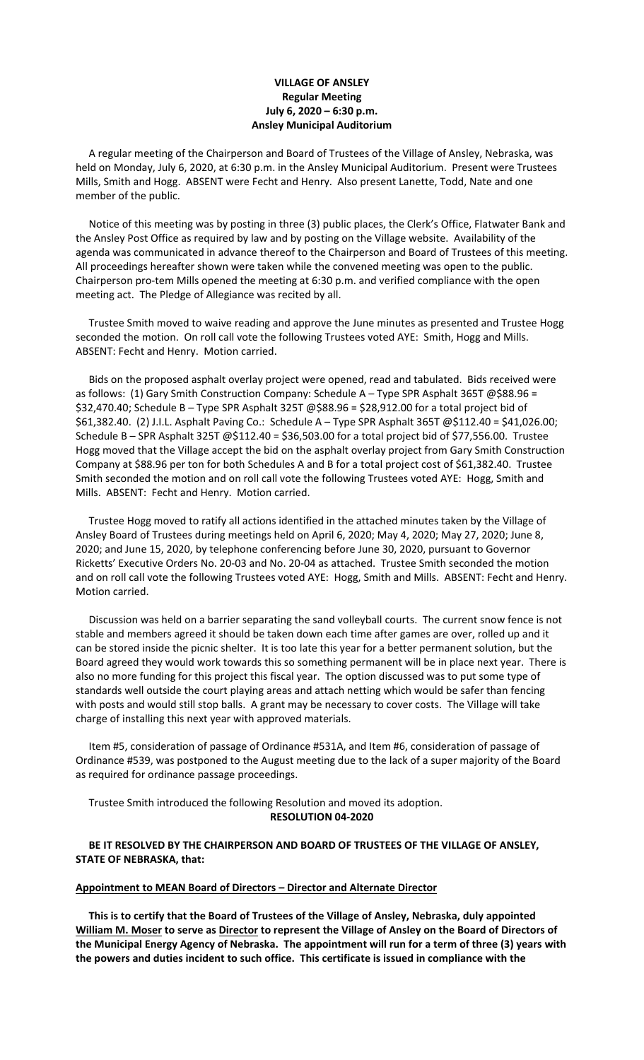# **VILLAGE OF ANSLEY Regular Meeting July 6, 2020 – 6:30 p.m. Ansley Municipal Auditorium**

 A regular meeting of the Chairperson and Board of Trustees of the Village of Ansley, Nebraska, was held on Monday, July 6, 2020, at 6:30 p.m. in the Ansley Municipal Auditorium. Present were Trustees Mills, Smith and Hogg. ABSENT were Fecht and Henry. Also present Lanette, Todd, Nate and one member of the public.

 Notice of this meeting was by posting in three (3) public places, the Clerk's Office, Flatwater Bank and the Ansley Post Office as required by law and by posting on the Village website. Availability of the agenda was communicated in advance thereof to the Chairperson and Board of Trustees of this meeting. All proceedings hereafter shown were taken while the convened meeting was open to the public. Chairperson pro-tem Mills opened the meeting at 6:30 p.m. and verified compliance with the open meeting act. The Pledge of Allegiance was recited by all.

 Trustee Smith moved to waive reading and approve the June minutes as presented and Trustee Hogg seconded the motion. On roll call vote the following Trustees voted AYE: Smith, Hogg and Mills. ABSENT: Fecht and Henry. Motion carried.

 Bids on the proposed asphalt overlay project were opened, read and tabulated. Bids received were as follows: (1) Gary Smith Construction Company: Schedule A - Type SPR Asphalt 365T @\$88.96 = \$32,470.40; Schedule B – Type SPR Asphalt 325T @\$88.96 = \$28,912.00 for a total project bid of \$61,382.40. (2) J.I.L. Asphalt Paving Co.: Schedule A – Type SPR Asphalt 365T @\$112.40 = \$41,026.00; Schedule B – SPR Asphalt 325T @\$112.40 = \$36,503.00 for a total project bid of \$77,556.00. Trustee Hogg moved that the Village accept the bid on the asphalt overlay project from Gary Smith Construction Company at \$88.96 per ton for both Schedules A and B for a total project cost of \$61,382.40. Trustee Smith seconded the motion and on roll call vote the following Trustees voted AYE: Hogg, Smith and Mills. ABSENT: Fecht and Henry. Motion carried.

 Trustee Hogg moved to ratify all actions identified in the attached minutes taken by the Village of Ansley Board of Trustees during meetings held on April 6, 2020; May 4, 2020; May 27, 2020; June 8, 2020; and June 15, 2020, by telephone conferencing before June 30, 2020, pursuant to Governor Ricketts' Executive Orders No. 20-03 and No. 20-04 as attached. Trustee Smith seconded the motion and on roll call vote the following Trustees voted AYE: Hogg, Smith and Mills. ABSENT: Fecht and Henry. Motion carried.

 Discussion was held on a barrier separating the sand volleyball courts. The current snow fence is not stable and members agreed it should be taken down each time after games are over, rolled up and it can be stored inside the picnic shelter. It is too late this year for a better permanent solution, but the Board agreed they would work towards this so something permanent will be in place next year. There is also no more funding for this project this fiscal year. The option discussed was to put some type of standards well outside the court playing areas and attach netting which would be safer than fencing with posts and would still stop balls. A grant may be necessary to cover costs. The Village will take charge of installing this next year with approved materials.

 Item #5, consideration of passage of Ordinance #531A, and Item #6, consideration of passage of Ordinance #539, was postponed to the August meeting due to the lack of a super majority of the Board as required for ordinance passage proceedings.

 Trustee Smith introduced the following Resolution and moved its adoption. **RESOLUTION 04-2020**

# **BE IT RESOLVED BY THE CHAIRPERSON AND BOARD OF TRUSTEES OF THE VILLAGE OF ANSLEY, STATE OF NEBRASKA, that:**

### **Appointment to MEAN Board of Directors – Director and Alternate Director**

 **This is to certify that the Board of Trustees of the Village of Ansley, Nebraska, duly appointed William M. Moser to serve as Director to represent the Village of Ansley on the Board of Directors of the Municipal Energy Agency of Nebraska. The appointment will run for a term of three (3) years with the powers and duties incident to such office. This certificate is issued in compliance with the**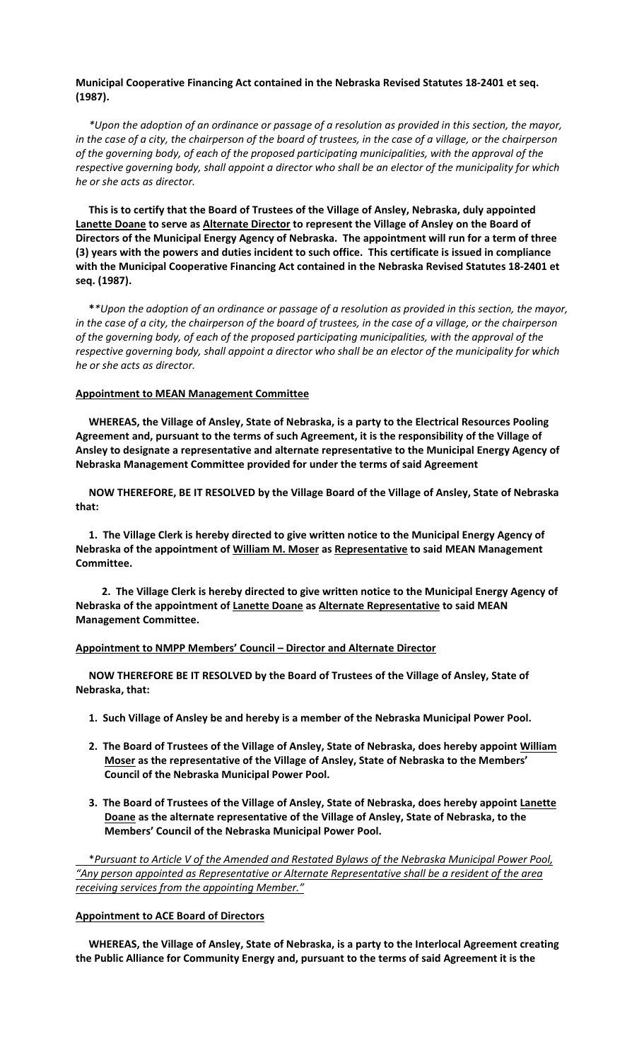## **Municipal Cooperative Financing Act contained in the Nebraska Revised Statutes 18-2401 et seq. (1987).**

*\*Upon the adoption of an ordinance or passage of a resolution as provided in this section, the mayor, in the case of a city, the chairperson of the board of trustees, in the case of a village, or the chairperson of the governing body, of each of the proposed participating municipalities, with the approval of the respective governing body, shall appoint a director who shall be an elector of the municipality for which he or she acts as director.*

 **This is to certify that the Board of Trustees of the Village of Ansley, Nebraska, duly appointed Lanette Doane to serve as Alternate Director to represent the Village of Ansley on the Board of Directors of the Municipal Energy Agency of Nebraska. The appointment will run for a term of three (3) years with the powers and duties incident to such office. This certificate is issued in compliance with the Municipal Cooperative Financing Act contained in the Nebraska Revised Statutes 18-2401 et seq. (1987).**

 **\****\*Upon the adoption of an ordinance or passage of a resolution as provided in this section, the mayor, in the case of a city, the chairperson of the board of trustees, in the case of a village, or the chairperson of the governing body, of each of the proposed participating municipalities, with the approval of the respective governing body, shall appoint a director who shall be an elector of the municipality for which he or she acts as director.*

#### **Appointment to MEAN Management Committee**

 **WHEREAS, the Village of Ansley, State of Nebraska, is a party to the Electrical Resources Pooling Agreement and, pursuant to the terms of such Agreement, it is the responsibility of the Village of Ansley to designate a representative and alternate representative to the Municipal Energy Agency of Nebraska Management Committee provided for under the terms of said Agreement**

 **NOW THEREFORE, BE IT RESOLVED by the Village Board of the Village of Ansley, State of Nebraska that:**

 **1. The Village Clerk is hereby directed to give written notice to the Municipal Energy Agency of Nebraska of the appointment of William M. Moser as Representative to said MEAN Management Committee.**

 **2. The Village Clerk is hereby directed to give written notice to the Municipal Energy Agency of Nebraska of the appointment of Lanette Doane as Alternate Representative to said MEAN Management Committee.**

#### **Appointment to NMPP Members' Council – Director and Alternate Director**

 **NOW THEREFORE BE IT RESOLVED by the Board of Trustees of the Village of Ansley, State of Nebraska, that:**

- **1. Such Village of Ansley be and hereby is a member of the Nebraska Municipal Power Pool.**
- **2. The Board of Trustees of the Village of Ansley, State of Nebraska, does hereby appoint William Moser as the representative of the Village of Ansley, State of Nebraska to the Members' Council of the Nebraska Municipal Power Pool.**
- **3. The Board of Trustees of the Village of Ansley, State of Nebraska, does hereby appoint Lanette Doane as the alternate representative of the Village of Ansley, State of Nebraska, to the Members' Council of the Nebraska Municipal Power Pool.**

\**Pursuant to Article V of the Amended and Restated Bylaws of the Nebraska Municipal Power Pool, "Any person appointed as Representative or Alternate Representative shall be a resident of the area receiving services from the appointing Member."*

## **Appointment to ACE Board of Directors**

 **WHEREAS, the Village of Ansley, State of Nebraska, is a party to the Interlocal Agreement creating the Public Alliance for Community Energy and, pursuant to the terms of said Agreement it is the**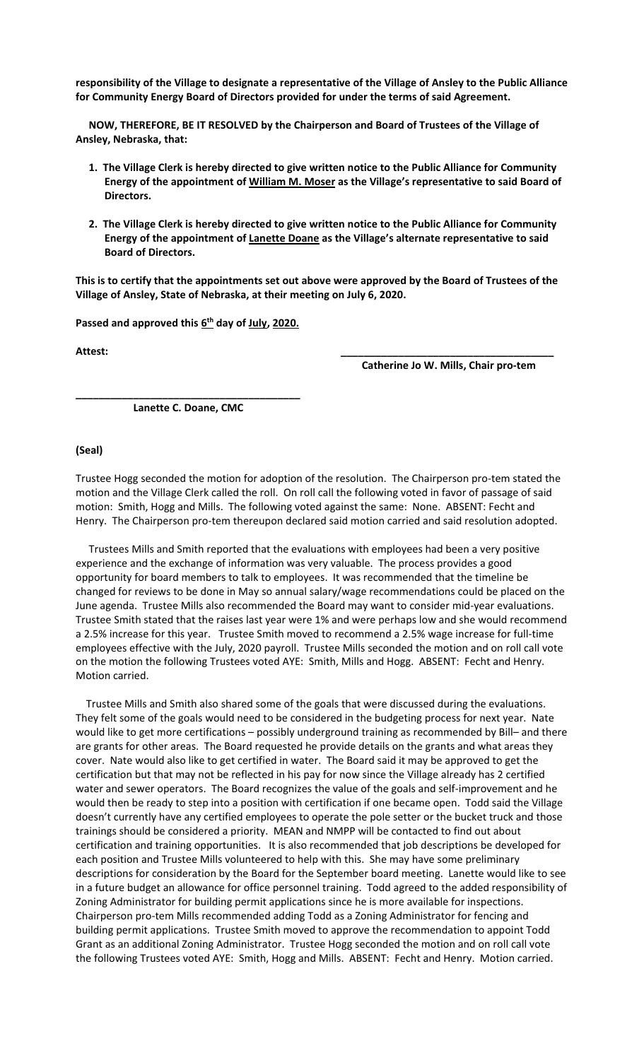**responsibility of the Village to designate a representative of the Village of Ansley to the Public Alliance for Community Energy Board of Directors provided for under the terms of said Agreement.**

 **NOW, THEREFORE, BE IT RESOLVED by the Chairperson and Board of Trustees of the Village of Ansley, Nebraska, that:**

- **1. The Village Clerk is hereby directed to give written notice to the Public Alliance for Community Energy of the appointment of William M. Moser as the Village's representative to said Board of Directors.**
- **2. The Village Clerk is hereby directed to give written notice to the Public Alliance for Community Energy of the appointment of Lanette Doane as the Village's alternate representative to said Board of Directors.**

**This is to certify that the appointments set out above were approved by the Board of Trustees of the Village of Ansley, State of Nebraska, at their meeting on July 6, 2020.**

Passed and approved this  $6<sup>th</sup>$  day of July, 2020.

**Attest: \_\_\_\_\_\_\_\_\_\_\_\_\_\_\_\_\_\_\_\_\_\_\_\_\_\_\_\_\_\_\_\_\_\_\_\_\_**

 **Catherine Jo W. Mills, Chair pro-tem**

**\_\_\_\_\_\_\_\_\_\_\_\_\_\_\_\_\_\_\_\_\_\_\_\_\_\_\_\_\_\_\_\_\_\_\_\_\_\_\_ Lanette C. Doane, CMC**

### **(Seal)**

Trustee Hogg seconded the motion for adoption of the resolution. The Chairperson pro-tem stated the motion and the Village Clerk called the roll. On roll call the following voted in favor of passage of said motion: Smith, Hogg and Mills. The following voted against the same: None. ABSENT: Fecht and Henry. The Chairperson pro-tem thereupon declared said motion carried and said resolution adopted.

 Trustees Mills and Smith reported that the evaluations with employees had been a very positive experience and the exchange of information was very valuable. The process provides a good opportunity for board members to talk to employees. It was recommended that the timeline be changed for reviews to be done in May so annual salary/wage recommendations could be placed on the June agenda. Trustee Mills also recommended the Board may want to consider mid-year evaluations. Trustee Smith stated that the raises last year were 1% and were perhaps low and she would recommend a 2.5% increase for this year. Trustee Smith moved to recommend a 2.5% wage increase for full-time employees effective with the July, 2020 payroll. Trustee Mills seconded the motion and on roll call vote on the motion the following Trustees voted AYE: Smith, Mills and Hogg. ABSENT: Fecht and Henry. Motion carried.

 Trustee Mills and Smith also shared some of the goals that were discussed during the evaluations. They felt some of the goals would need to be considered in the budgeting process for next year. Nate would like to get more certifications – possibly underground training as recommended by Bill– and there are grants for other areas. The Board requested he provide details on the grants and what areas they cover. Nate would also like to get certified in water. The Board said it may be approved to get the certification but that may not be reflected in his pay for now since the Village already has 2 certified water and sewer operators. The Board recognizes the value of the goals and self-improvement and he would then be ready to step into a position with certification if one became open. Todd said the Village doesn't currently have any certified employees to operate the pole setter or the bucket truck and those trainings should be considered a priority. MEAN and NMPP will be contacted to find out about certification and training opportunities. It is also recommended that job descriptions be developed for each position and Trustee Mills volunteered to help with this. She may have some preliminary descriptions for consideration by the Board for the September board meeting. Lanette would like to see in a future budget an allowance for office personnel training. Todd agreed to the added responsibility of Zoning Administrator for building permit applications since he is more available for inspections. Chairperson pro-tem Mills recommended adding Todd as a Zoning Administrator for fencing and building permit applications. Trustee Smith moved to approve the recommendation to appoint Todd Grant as an additional Zoning Administrator. Trustee Hogg seconded the motion and on roll call vote the following Trustees voted AYE: Smith, Hogg and Mills. ABSENT: Fecht and Henry. Motion carried.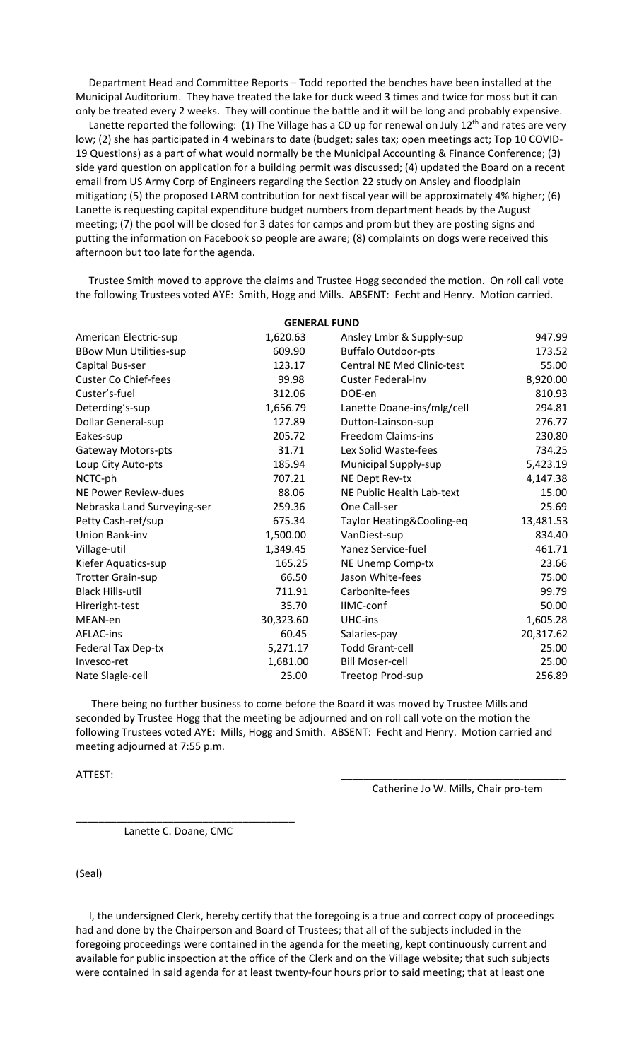Department Head and Committee Reports – Todd reported the benches have been installed at the Municipal Auditorium. They have treated the lake for duck weed 3 times and twice for moss but it can only be treated every 2 weeks. They will continue the battle and it will be long and probably expensive.

Lanette reported the following: (1) The Village has a CD up for renewal on July 12<sup>th</sup> and rates are very low; (2) she has participated in 4 webinars to date (budget; sales tax; open meetings act; Top 10 COVID-19 Questions) as a part of what would normally be the Municipal Accounting & Finance Conference; (3) side yard question on application for a building permit was discussed; (4) updated the Board on a recent email from US Army Corp of Engineers regarding the Section 22 study on Ansley and floodplain mitigation; (5) the proposed LARM contribution for next fiscal year will be approximately 4% higher; (6) Lanette is requesting capital expenditure budget numbers from department heads by the August meeting; (7) the pool will be closed for 3 dates for camps and prom but they are posting signs and putting the information on Facebook so people are aware; (8) complaints on dogs were received this afternoon but too late for the agenda.

 Trustee Smith moved to approve the claims and Trustee Hogg seconded the motion. On roll call vote the following Trustees voted AYE: Smith, Hogg and Mills. ABSENT: Fecht and Henry. Motion carried.

| <b>GENERAL FUND</b>           |           |                                   |           |
|-------------------------------|-----------|-----------------------------------|-----------|
| American Electric-sup         | 1,620.63  | Ansley Lmbr & Supply-sup          | 947.99    |
| <b>BBow Mun Utilities-sup</b> | 609.90    | <b>Buffalo Outdoor-pts</b>        | 173.52    |
| Capital Bus-ser               | 123.17    | <b>Central NE Med Clinic-test</b> | 55.00     |
| <b>Custer Co Chief-fees</b>   | 99.98     | <b>Custer Federal-inv</b>         | 8,920.00  |
| Custer's-fuel                 | 312.06    | DOE-en                            | 810.93    |
| Deterding's-sup               | 1,656.79  | Lanette Doane-ins/mlg/cell        | 294.81    |
| Dollar General-sup            | 127.89    | Dutton-Lainson-sup                | 276.77    |
| Eakes-sup                     | 205.72    | <b>Freedom Claims-ins</b>         | 230.80    |
| <b>Gateway Motors-pts</b>     | 31.71     | Lex Solid Waste-fees              | 734.25    |
| Loup City Auto-pts            | 185.94    | Municipal Supply-sup              | 5,423.19  |
| NCTC-ph                       | 707.21    | NE Dept Rev-tx                    | 4,147.38  |
| <b>NE Power Review-dues</b>   | 88.06     | NE Public Health Lab-text         | 15.00     |
| Nebraska Land Surveying-ser   | 259.36    | One Call-ser                      | 25.69     |
| Petty Cash-ref/sup            | 675.34    | Taylor Heating&Cooling-eq         | 13,481.53 |
| Union Bank-inv                | 1,500.00  | VanDiest-sup                      | 834.40    |
| Village-util                  | 1,349.45  | Yanez Service-fuel                | 461.71    |
| Kiefer Aquatics-sup           | 165.25    | NE Unemp Comp-tx                  | 23.66     |
| <b>Trotter Grain-sup</b>      | 66.50     | Jason White-fees                  | 75.00     |
| <b>Black Hills-util</b>       | 711.91    | Carbonite-fees                    | 99.79     |
| Hireright-test                | 35.70     | <b>IIMC-conf</b>                  | 50.00     |
| MEAN-en                       | 30,323.60 | UHC-ins                           | 1,605.28  |
| <b>AFLAC-ins</b>              | 60.45     | Salaries-pay                      | 20,317.62 |
| Federal Tax Dep-tx            | 5,271.17  | <b>Todd Grant-cell</b>            | 25.00     |
| Invesco-ret                   | 1,681.00  | <b>Bill Moser-cell</b>            | 25.00     |
| Nate Slagle-cell              | 25.00     | Treetop Prod-sup                  | 256.89    |
|                               |           |                                   |           |

 There being no further business to come before the Board it was moved by Trustee Mills and seconded by Trustee Hogg that the meeting be adjourned and on roll call vote on the motion the following Trustees voted AYE: Mills, Hogg and Smith. ABSENT: Fecht and Henry. Motion carried and meeting adjourned at 7:55 p.m.

ATTEST: \_\_\_\_\_\_\_\_\_\_\_\_\_\_\_\_\_\_\_\_\_\_\_\_\_\_\_\_\_\_\_\_\_\_\_\_\_\_\_

Catherine Jo W. Mills, Chair pro-tem

Lanette C. Doane, CMC

\_\_\_\_\_\_\_\_\_\_\_\_\_\_\_\_\_\_\_\_\_\_\_\_\_\_\_\_\_\_\_\_\_\_\_\_\_\_

(Seal)

 I, the undersigned Clerk, hereby certify that the foregoing is a true and correct copy of proceedings had and done by the Chairperson and Board of Trustees; that all of the subjects included in the foregoing proceedings were contained in the agenda for the meeting, kept continuously current and available for public inspection at the office of the Clerk and on the Village website; that such subjects were contained in said agenda for at least twenty-four hours prior to said meeting; that at least one